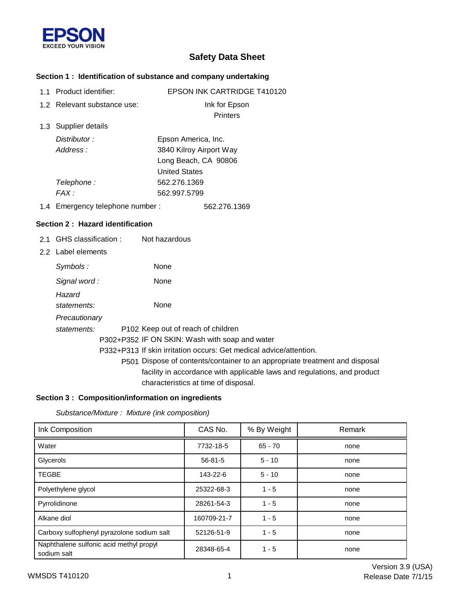

# **Safety Data Sheet**

### **Section 1 : Identification of substance and company undertaking**

| 1.1 Product identifier:          | <b>EPSON INK CARTRIDGE T410120</b>                                          |
|----------------------------------|-----------------------------------------------------------------------------|
| 1.2 Relevant substance use:      | Ink for Epson                                                               |
|                                  | <b>Printers</b>                                                             |
| 1.3 Supplier details             |                                                                             |
| Distributor:                     | Epson America, Inc.                                                         |
| Address:                         | 3840 Kilroy Airport Way                                                     |
|                                  | Long Beach, CA 90806                                                        |
|                                  | <b>United States</b>                                                        |
| Telephone:                       | 562.276.1369                                                                |
| FAX:                             | 562.997.5799                                                                |
| 1.4 Emergency telephone number:  | 562.276.1369                                                                |
| Section 2: Hazard identification |                                                                             |
| 2.1 GHS classification:          | Not hazardous                                                               |
| 2.2 Label elements               |                                                                             |
| Symbols:                         | None                                                                        |
| Signal word:                     | None                                                                        |
| Hazard                           |                                                                             |
| statements:                      | None                                                                        |
| Precautionary                    |                                                                             |
| statements:                      | P102 Keep out of reach of children                                          |
|                                  | P302+P352 IF ON SKIN: Wash with soap and water                              |
|                                  | P332+P313 If skin irritation occurs: Get medical advice/attention.          |
|                                  | P501 Dispose of contents/container to an appropriate treatment and disposal |
|                                  | facility in accordance with applicable laws and regulations, and product    |

## **Section 3 : Composition/information on ingredients**

*Substance/Mixture : Mixture (ink composition)*

| Ink Composition                                        | CAS No.       | % By Weight | Remark |
|--------------------------------------------------------|---------------|-------------|--------|
| Water                                                  | 7732-18-5     | $65 - 70$   | none   |
| Glycerols                                              | $56 - 81 - 5$ | $5 - 10$    | none   |
| <b>TEGBE</b>                                           | 143-22-6      | $5 - 10$    | none   |
| Polyethylene glycol                                    | 25322-68-3    | $1 - 5$     | none   |
| Pyrrolidinone                                          | 28261-54-3    | $1 - 5$     | none   |
| Alkane diol                                            | 160709-21-7   | $1 - 5$     | none   |
| Carboxy sulfophenyl pyrazolone sodium salt             | 52126-51-9    | $1 - 5$     | none   |
| Naphthalene sulfonic acid methyl propyl<br>sodium salt | 28348-65-4    | $1 - 5$     | none   |

characteristics at time of disposal.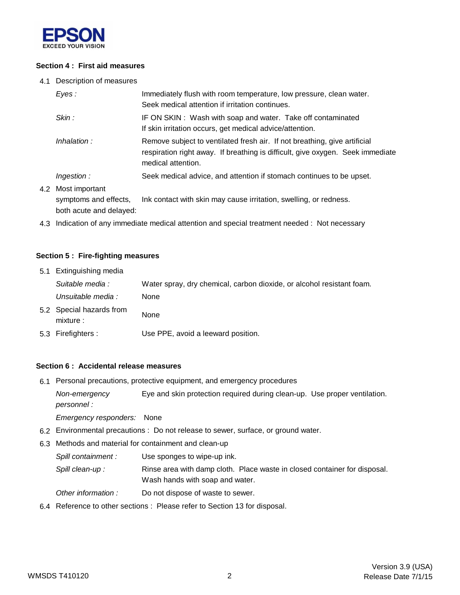

#### **Section 4 : First aid measures**

4.1 Description of measures

| Eyes:                                   | Immediately flush with room temperature, low pressure, clean water.<br>Seek medical attention if irritation continues.                                                            |
|-----------------------------------------|-----------------------------------------------------------------------------------------------------------------------------------------------------------------------------------|
| Skin :                                  | IF ON SKIN: Wash with soap and water. Take off contaminated<br>If skin irritation occurs, get medical advice/attention.                                                           |
| Inhalation:                             | Remove subject to ventilated fresh air. If not breathing, give artificial<br>respiration right away. If breathing is difficult, give oxygen. Seek immediate<br>medical attention. |
| Ingestion:                              | Seek medical advice, and attention if stomach continues to be upset.                                                                                                              |
| Most important<br>symptoms and effects, | Ink contact with skin may cause irritation, swelling, or redness.                                                                                                                 |

both acute and delayed:

4.2

4.3 Indication of any immediate medical attention and special treatment needed : Not necessary

#### **Section 5 : Fire-fighting measures**

| 5.1 Extinguishing media |                                       |                                                                       |
|-------------------------|---------------------------------------|-----------------------------------------------------------------------|
|                         | Suitable media :                      | Water spray, dry chemical, carbon dioxide, or alcohol resistant foam. |
|                         | Unsuitable media :                    | None                                                                  |
|                         | 5.2 Special hazards from<br>mixture : | None                                                                  |
|                         | 5.3 Firefighters :                    | Use PPE, avoid a leeward position.                                    |

#### **Section 6 : Accidental release measures**

6.1 Personal precautions, protective equipment, and emergency procedures

*Non-emergency* Eye and skin protection required during clean-up. Use proper ventilation. *personnel :*

*Emergency responders:* None

- 6.2 Environmental precautions : Do not release to sewer, surface, or ground water.
- 6.3 Methods and material for containment and clean-up

*Spill containment :* Use sponges to wipe-up ink.

Spill clean-up : Rinse area with damp cloth. Place waste in closed container for disposal. Wash hands with soap and water.

- *Other information :* Do not dispose of waste to sewer.
- 6.4 Reference to other sections : Please refer to Section 13 for disposal.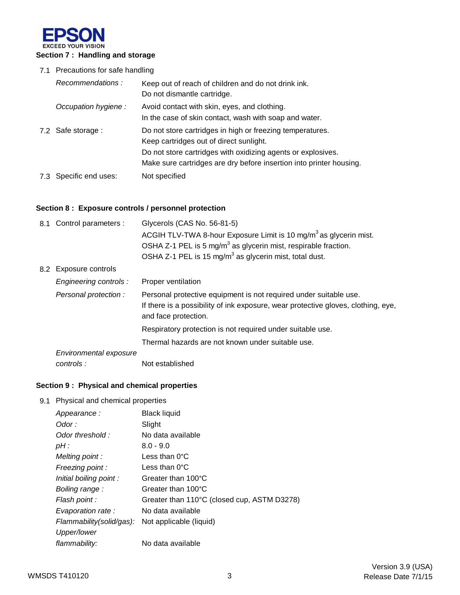

### 7.1 Precautions for safe handling

| Recommendations:       | Keep out of reach of children and do not drink ink.<br>Do not dismantle cartridge.                                                                                                                                                          |
|------------------------|---------------------------------------------------------------------------------------------------------------------------------------------------------------------------------------------------------------------------------------------|
| Occupation hygiene:    | Avoid contact with skin, eyes, and clothing.<br>In the case of skin contact, wash with soap and water.                                                                                                                                      |
| 7.2 Safe storage :     | Do not store cartridges in high or freezing temperatures.<br>Keep cartridges out of direct sunlight.<br>Do not store cartridges with oxidizing agents or explosives.<br>Make sure cartridges are dry before insertion into printer housing. |
| 7.3 Specific end uses: | Not specified                                                                                                                                                                                                                               |

## **Section 8 : Exposure controls / personnel protection**

| 8.1 Control parameters : | Glycerols (CAS No. 56-81-5)                                                                               |
|--------------------------|-----------------------------------------------------------------------------------------------------------|
|                          | ACGIH TLV-TWA 8-hour Exposure Limit is 10 mg/m <sup>3</sup> as glycerin mist.                             |
|                          | OSHA Z-1 PEL is 5 mg/m <sup>3</sup> as glycerin mist, respirable fraction.                                |
|                          | OSHA Z-1 PEL is 15 mg/m <sup>3</sup> as glycerin mist, total dust.                                        |
| 8.2 Exposure controls    |                                                                                                           |
| Engineering controls:    | Proper ventilation                                                                                        |
| Personal protection :    | Personal protective equipment is not required under suitable use.                                         |
|                          | If there is a possibility of ink exposure, wear protective gloves, clothing, eye,<br>and face protection. |
|                          | Respiratory protection is not required under suitable use.                                                |
|                          | Thermal hazards are not known under suitable use.                                                         |
| Environmental exposure   |                                                                                                           |
| controls:                | Not established                                                                                           |

## **Section 9 : Physical and chemical properties**

#### 9.1 Physical and chemical properties

|                          | <b>Black liquid</b>                         |
|--------------------------|---------------------------------------------|
| Appearance:              |                                             |
| Odor :                   | Slight                                      |
| Odor threshold:          | No data available                           |
| pH:                      | $8.0 - 9.0$                                 |
| Melting point:           | Less than $0^{\circ}$ C                     |
| Freezing point :         | Less than $0^{\circ}$ C                     |
| Initial boiling point:   | Greater than 100°C                          |
| Boiling range:           | Greater than 100°C                          |
| Flash point :            | Greater than 110°C (closed cup, ASTM D3278) |
| Evaporation rate:        | No data available                           |
| Flammability(solid/gas): | Not applicable (liquid)                     |
| Upper/lower              |                                             |
| flammability:            | No data available                           |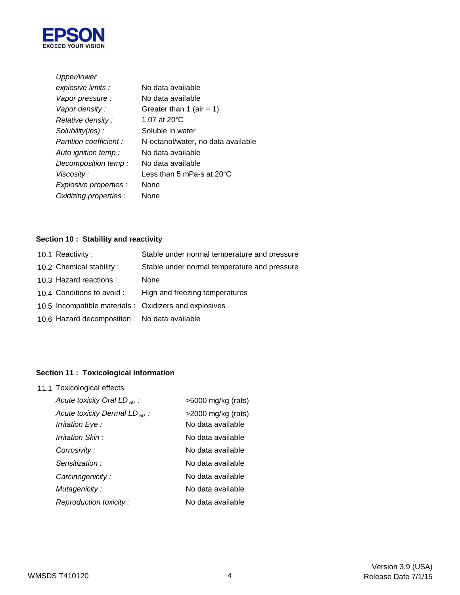

| Upper/lower                   |                                      |
|-------------------------------|--------------------------------------|
| explosive limits :            | No data available                    |
| Vapor pressure :              | No data available                    |
| Vapor density:                | Greater than 1 (air = 1)             |
| Relative density :            | 1.07 at 20°C                         |
| Solubility(ies):              | Soluble in water                     |
| <b>Partition coefficient:</b> | N-octanol/water, no data available   |
| Auto ignition temp :          | No data available                    |
| Decomposition temp:           | No data available                    |
| Viscosity :                   | Less than 5 mPa-s at 20 $^{\circ}$ C |
| Explosive properties :        | <b>None</b>                          |
| Oxidizing properties :        | None                                 |

## **Section 10 : Stability and reactivity**

| 10.1 Reactivity:                              | Stable under normal temperature and pressure           |
|-----------------------------------------------|--------------------------------------------------------|
| 10.2 Chemical stability:                      | Stable under normal temperature and pressure           |
| 10.3 Hazard reactions :                       | None                                                   |
| 10.4 Conditions to avoid :                    | High and freezing temperatures                         |
|                                               | 10.5 Incompatible materials : Oxidizers and explosives |
| 10.6 Hazard decomposition : No data available |                                                        |
|                                               |                                                        |

## **Section 11 : Toxicological information**

| 11.1 Toxicological effects                                    |                                            |  |  |
|---------------------------------------------------------------|--------------------------------------------|--|--|
| Acute toxicity Oral LD $_{50}$ :                              | $>5000$ mg/kg (rats)                       |  |  |
| Acute toxicity Dermal LD $_{50}$ :<br><i>Irritation Eye :</i> | $>$ 2000 mg/kg (rats)<br>No data available |  |  |
| Irritation Skin :                                             | No data available                          |  |  |
| Corrosivity :                                                 | No data available                          |  |  |
| Sensitization:                                                | No data available                          |  |  |
| Carcinogenicity:                                              | No data available                          |  |  |
| Mutagenicity:                                                 | No data available                          |  |  |
| Reproduction toxicity:                                        | No data available                          |  |  |
|                                                               |                                            |  |  |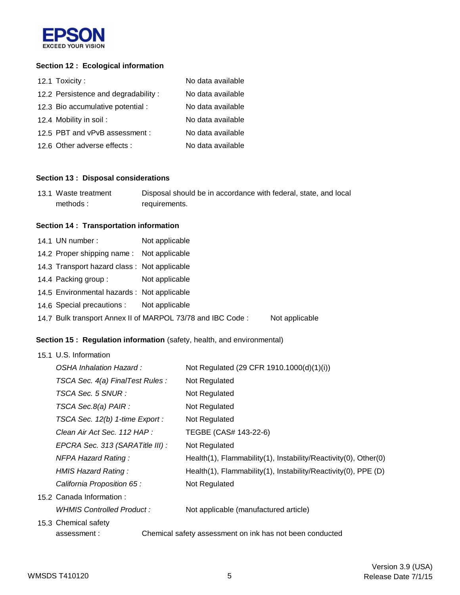

### **Section 12 : Ecological information**

| 12.1 Toxicity:                      | No data available |
|-------------------------------------|-------------------|
| 12.2 Persistence and degradability: | No data available |
| 12.3 Bio accumulative potential :   | No data available |
| 12.4 Mobility in soil:              | No data available |
| 12.5 PBT and vPvB assessment :      | No data available |
| 12.6 Other adverse effects :        | No data available |

### **Section 13 : Disposal considerations**

| 13.1 Waste treatment | Disposal should be in accordance with federal, state, and local |
|----------------------|-----------------------------------------------------------------|
| methods:             | requirements.                                                   |

## **Section 14 : Transportation information**

| 14.1 UN number:                             | Not applicable                                             |                |
|---------------------------------------------|------------------------------------------------------------|----------------|
| 14.2 Proper shipping name: Not applicable   |                                                            |                |
| 14.3 Transport hazard class: Not applicable |                                                            |                |
| 14.4 Packing group :                        | Not applicable                                             |                |
| 14.5 Environmental hazards : Not applicable |                                                            |                |
| 14.6 Special precautions : Not applicable   |                                                            |                |
|                                             | 14.7 Bulk transport Annex II of MARPOL 73/78 and IBC Code: | Not applicable |
|                                             |                                                            |                |

### **Section 15 : Regulation information** (safety, health, and environmental)

#### 15.1 U.S. Information

| OSHA Inhalation Hazard :         | Not Regulated (29 CFR 1910.1000(d)(1)(i))                       |
|----------------------------------|-----------------------------------------------------------------|
| TSCA Sec. 4(a) FinalTest Rules : | Not Regulated                                                   |
| TSCA Sec. 5 SNUR :               | Not Regulated                                                   |
| TSCA Sec.8(a) PAIR :             | Not Regulated                                                   |
| TSCA Sec. 12(b) 1-time Export :  | Not Regulated                                                   |
| Clean Air Act Sec. 112 HAP :     | TEGBE (CAS# 143-22-6)                                           |
| EPCRA Sec. 313 (SARATitle III) : | Not Regulated                                                   |
| <b>NFPA Hazard Rating:</b>       | Health(1), Flammability(1), Instability/Reactivity(0), Other(0) |
| HMIS Hazard Rating:              | Health(1), Flammability(1), Instability/Reactivity(0), PPE (D)  |
| California Proposition 65 :      | Not Regulated                                                   |
| 15.2 Canada Information:         |                                                                 |
| WHMIS Controlled Product :       | Not applicable (manufactured article)                           |
| 15.3 Chemical safety             |                                                                 |
| assessment:                      | Chemical safety assessment on ink has not been conducted        |